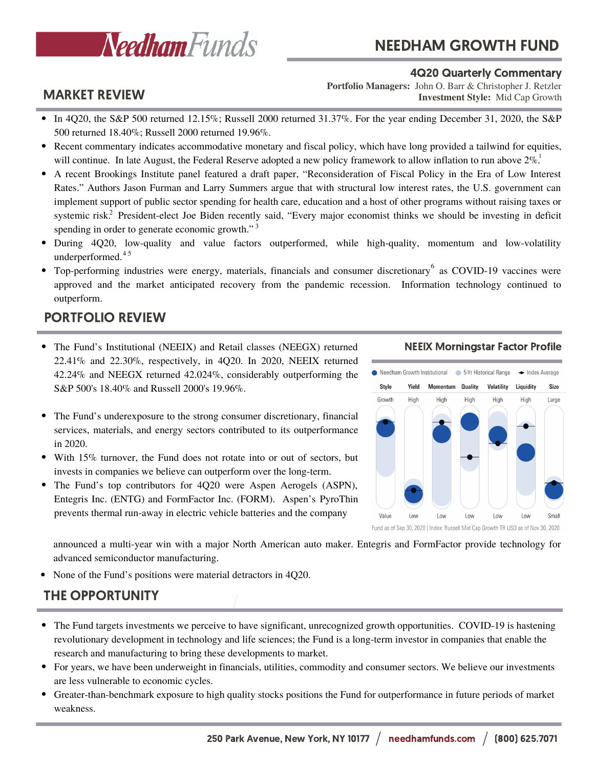

# NEEDHAM GROWTH FUND

### MARKET REVIEW

4Q20 Quarterly Commentary

**Investment Style:** Mid Cap Growth **Portfolio Managers:** John O. Barr & Christopher J. Retzler

- In 4Q20, the S&P 500 returned 12.15%; Russell 2000 returned 31.37%. For the year ending December 31, 2020, the S&P 500 returned 18.40%; Russell 2000 returned 19.96%.
- Recent commentary indicates accommodative monetary and fiscal policy, which have long provided a tailwind for equities, will continue. In late August, the Federal Reserve adopted a new policy framework to allow inflation to run above  $2\%$ .
- A recent Brookings Institute panel featured a draft paper, "Reconsideration of Fiscal Policy in the Era of Low Interest Rates." Authors Jason Furman and Larry Summers argue that with structural low interest rates, the U.S. government can implement support of public sector spending for health care, education and a host of other programs without raising taxes or systemic risk.<sup>2</sup> President-elect Joe Biden recently said, "Every major economist thinks we should be investing in deficit spending in order to generate economic growth."<sup>3</sup>
- During 4Q20, low-quality and value factors outperformed, while high-quality, momentum and low-volatility underperformed. 4 5
- Top-performing industries were energy, materials, financials and consumer discretionary as COVID-19 vaccines were approved and the market anticipated recovery from the pandemic recession. Information technology continued to outperform.

## PORTFOLIO REVIEW

- The Fund's Institutional (NEEIX) and Retail classes (NEEGX) returned 22.41% and 22.30%, respectively, in 4Q20. In 2020, NEEIX returned 42.24% and NEEGX returned 42.024%, considerably outperforming the S&P 500's 18.40% and Russell 2000's 19.96%.
- The Fund's underexposure to the strong consumer discretionary, financial services, materials, and energy sectors contributed to its outperformance in 2020.
- With 15% turnover, the Fund does not rotate into or out of sectors, but invests in companies we believe can outperform over the long-term.
- The Fund's top contributors for 4Q20 were Aspen Aerogels (ASPN), Entegris Inc. (ENTG) and FormFactor Inc. (FORM). Aspen's PyroThin prevents thermal run-away in electric vehicle batteries and the company

### NEEIX Morningstar Factor Profile



announced a multi-year win with a major North American auto maker. Entegris and FormFactor provide technology for advanced semiconductor manufacturing.

None of the Fund's positions were material detractors in 4Q20.

### THE OPPORTUNITY

- The Fund targets investments we perceive to have significant, unrecognized growth opportunities. COVID-19 is hastening revolutionary development in technology and life sciences; the Fund is a long-term investor in companies that enable the research and manufacturing to bring these developments to market.
- For years, we have been underweight in financials, utilities, commodity and consumer sectors. We believe our investments are less vulnerable to economic cycles.
- Greater-than-benchmark exposure to high quality stocks positions the Fund for outperformance in future periods of market weakness.